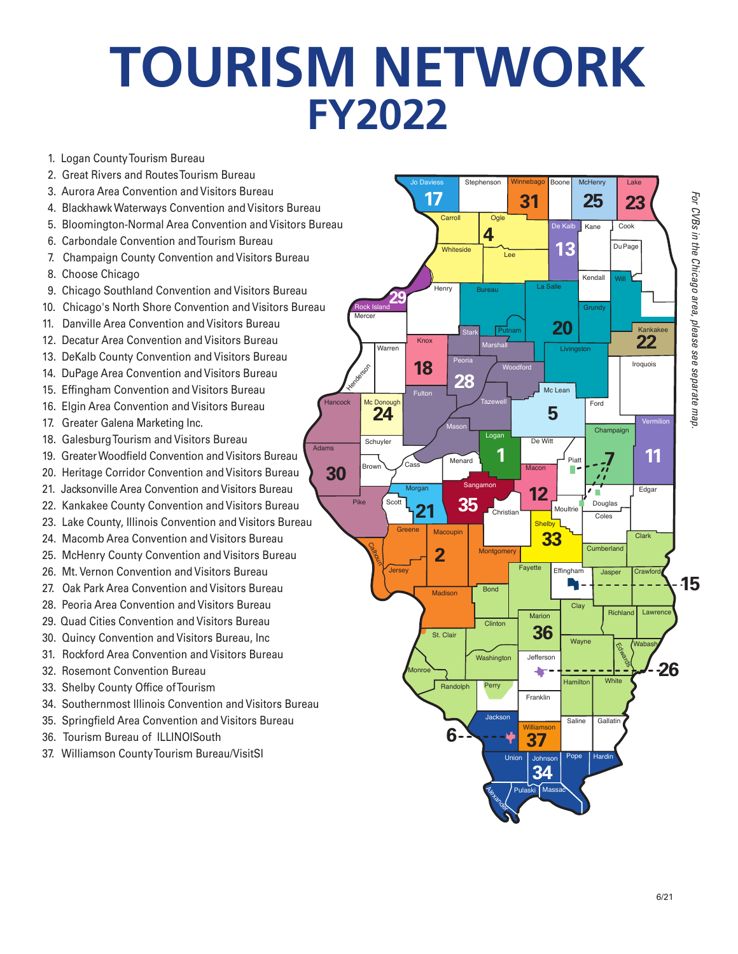## **TOURISM NETWORK FY2022**

- 1. Logan County Tourism Bureau
- 2. Great Rivers and Routes Tourism Bureau
- 3. Aurora Area Convention and Visitors Bureau
- 4. Blackhawk Waterways Convention and Visitors Bureau
- 5. Bloomington-Normal Area Convention and Visitors Bureau
- 6. Carbondale Convention and Tourism Bureau
- 7. Champaign County Convention and Visitors Bureau
- 8. Choose Chicago
- 9. Chicago Southland Convention and Visitors Bureau
- 10. Chicago's North Shore Convention and Visitors Bureau
- 11. Danville Area Convention and Visitors Bureau
- 12. Decatur Area Convention and Visitors Bureau
- 13. DeKalb County Convention and Visitors Bureau
- 14. DuPage Area Convention and Visitors Bureau
- 15. Effingham Convention and Visitors Bureau
- 16. Elgin Area Convention and Visitors Bureau
- 17. Greater Galena Marketing Inc.
- 18. Galesburg Tourism and Visitors Bureau
- 19. Greater Woodfield Convention and Visitors Bureau
- 20. Heritage Corridor Convention and Visitors Bureau
- 21. Jacksonville Area Convention and Visitors Bureau
- 22. Kankakee County Convention and Visitors Bureau
- 23. Lake County, Illinois Convention and Visitors Bureau
- 24. Macomb Area Convention and Visitors Bureau
- 25. McHenry County Convention and Visitors Bureau
- 26. Mt. Vernon Convention and Visitors Bureau
- 27. Oak Park Area Convention and Visitors Bureau
- 28. Peoria Area Convention and Visitors Bureau
- 29. Quad Cities Convention and Visitors Bureau
- 30. Quincy Convention and Visitors Bureau, Inc
- 31. Rockford Area Convention and Visitors Bureau
- 32. Rosemont Convention Bureau
- 33. Shelby County Office of Tourism
- 34. Southernmost Illinois Convention and Visitors Bureau
- 35. Springfield Area Convention and Visitors Bureau
- 36. Tourism Bureau of ILLINOISouth
- 37. Williamson County Tourism Bureau/VisitSI